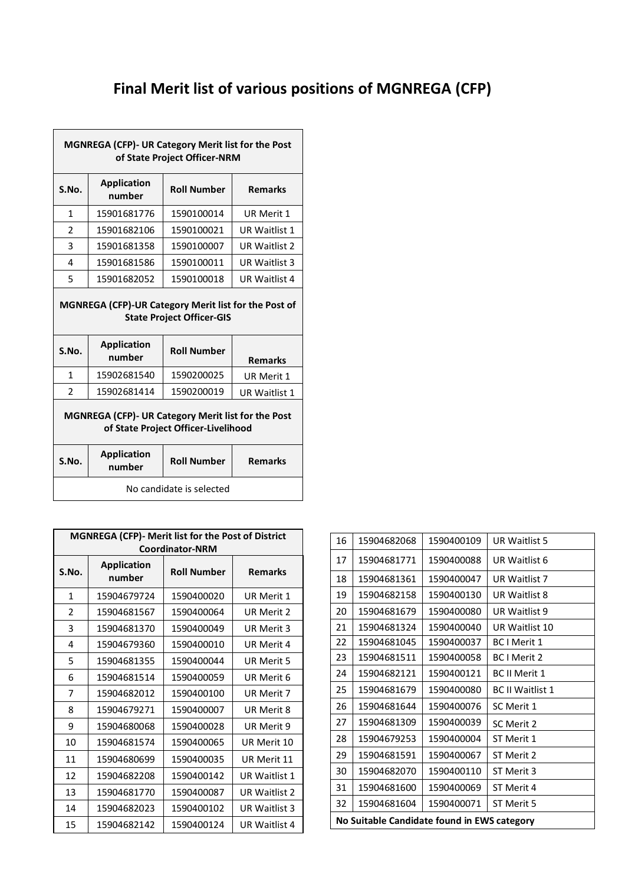## **Final Merit list of various positions of MGNREGA (CFP)**

| MGNREGA (CFP)- UR Category Merit list for the Post<br>of State Project Officer-NRM                                                            |                              |                    |                |
|-----------------------------------------------------------------------------------------------------------------------------------------------|------------------------------|--------------------|----------------|
| S.No.                                                                                                                                         | <b>Application</b><br>number | <b>Roll Number</b> | <b>Remarks</b> |
| 1                                                                                                                                             | 15901681776                  | 1590100014         | UR Merit 1     |
| $\mathfrak{p}$                                                                                                                                | 15901682106                  | 1590100021         | UR Waitlist 1  |
| 3                                                                                                                                             | 15901681358                  | 1590100007         | UR Waitlist 2  |
| 4                                                                                                                                             | 15901681586                  | 1590100011         | UR Waitlist 3  |
| 5                                                                                                                                             | 15901682052                  | 1590100018         | UR Waitlist 4  |
| MGNREGA (CFP)-UR Category Merit list for the Post of<br><b>State Project Officer-GIS</b><br><b>Application</b><br>S.No.<br><b>Roll Number</b> |                              |                    |                |
|                                                                                                                                               | number                       |                    | <b>Remarks</b> |
| 1                                                                                                                                             | 15902681540                  | 1590200025         | UR Merit 1     |
| $\mathfrak{p}$                                                                                                                                | 15902681414                  | 1590200019         | UR Waitlist 1  |
| MGNREGA (CFP)- UR Category Merit list for the Post<br>of State Project Officer-Livelihood                                                     |                              |                    |                |
| S.No.                                                                                                                                         | <b>Application</b><br>number | <b>Roll Number</b> | <b>Remarks</b> |
| No candidate is selected                                                                                                                      |                              |                    |                |

| <b>MGNREGA (CFP)- Merit list for the Post of District</b><br><b>Coordinator-NRM</b> |                              |                    |                   |
|-------------------------------------------------------------------------------------|------------------------------|--------------------|-------------------|
| S.No.                                                                               | <b>Application</b><br>number | <b>Roll Number</b> | <b>Remarks</b>    |
| 1                                                                                   | 15904679724                  | 1590400020         | UR Merit 1        |
| $\mathfrak z$                                                                       | 15904681567                  | 1590400064         | UR Merit 2        |
| 3                                                                                   | 15904681370                  | 1590400049         | UR Merit 3        |
| 4                                                                                   | 15904679360                  | 1590400010         | UR Merit 4        |
| 5                                                                                   | 15904681355                  | 1590400044         | <b>UR Merit 5</b> |
| 6                                                                                   | 15904681514                  | 1590400059         | UR Merit 6        |
| 7                                                                                   | 15904682012                  | 1590400100         | UR Merit 7        |
| 8                                                                                   | 15904679271                  | 1590400007         | UR Merit 8        |
| 9                                                                                   | 15904680068                  | 1590400028         | UR Merit 9        |
| 10                                                                                  | 15904681574                  | 1590400065         | UR Merit 10       |
| 11                                                                                  | 15904680699                  | 1590400035         | UR Merit 11       |
| 12                                                                                  | 15904682208                  | 1590400142         | UR Waitlist 1     |
| 13                                                                                  | 15904681770                  | 1590400087         | UR Waitlist 2     |
| 14                                                                                  | 15904682023                  | 1590400102         | UR Waitlist 3     |
| 15                                                                                  | 15904682142                  | 1590400124         | UR Waitlist 4     |

| 16                                          | 15904682068 | 1590400109 | UR Waitlist 5           |
|---------------------------------------------|-------------|------------|-------------------------|
| 17                                          | 15904681771 | 1590400088 | UR Waitlist 6           |
| 18                                          | 15904681361 | 1590400047 | UR Waitlist 7           |
| 19                                          | 15904682158 | 1590400130 | UR Waitlist 8           |
| 20                                          | 15904681679 | 1590400080 | UR Waitlist 9           |
| 21                                          | 15904681324 | 1590400040 | UR Waitlist 10          |
| 22                                          | 15904681045 | 1590400037 | <b>BC</b> I Merit 1     |
| 23                                          | 15904681511 | 1590400058 | <b>BC</b> I Merit 2     |
| 24                                          | 15904682121 | 1590400121 | <b>BC II Merit 1</b>    |
| 25                                          | 15904681679 | 1590400080 | <b>BC II Waitlist 1</b> |
| 26                                          | 15904681644 | 1590400076 | SC Merit 1              |
| 27                                          | 15904681309 | 1590400039 | SC Merit 2              |
| 28                                          | 15904679253 | 1590400004 | ST Merit 1              |
| 29                                          | 15904681591 | 1590400067 | ST Merit 2              |
| 30                                          | 15904682070 | 1590400110 | ST Merit 3              |
| 31                                          | 15904681600 | 1590400069 | ST Merit 4              |
| 32                                          | 15904681604 | 1590400071 | ST Merit 5              |
| No Suitable Candidate found in EWS category |             |            |                         |